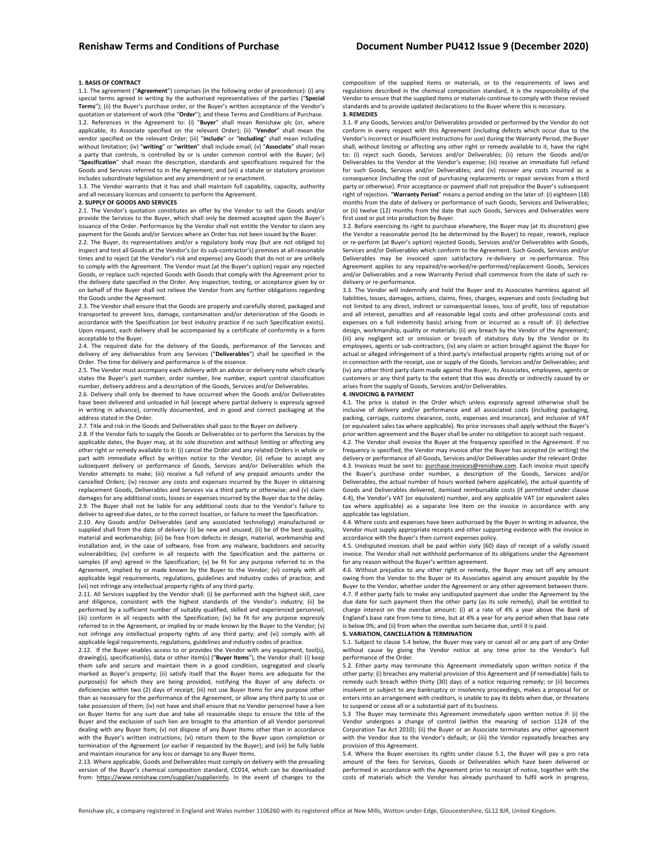### **1. BASIS OF CONTRACT**

1.1. The agreement ("**Agreement**") comprises (in the following order of precedence): (i) any special terms agreed in writing by the authorised representatives of the parties ("**Special Terms**"); (ii) the Buyer's purchase order, or the Buyer's written acceptance of the Vendor's quotation or statement of work (the "**Order**"); and these Terms and Conditions of Purchase. 1.2. References in the Agreement to: (i) "**Buyer**" shall mean Renishaw plc (or, where applicable, its Associate specified on the relevant Order); (ii) "**Vendor**" shall mean the vendor specified on the relevant Order; (iii) "**include**" or "**including**" shall mean including without limitation; (iv) "**writing**" or "**written**" shall include email; (v) "**Associate**" shall mean a party that controls, is controlled by or is under common control with the Buyer; (vi) "**Specification**" shall mean the description, standards and specifications required for the Goods and Services referred to in the Agreement; and (vii) a statute or statutory provision includes subordinate legislation and any amendment or re-enactment.

1.3. The Vendor warrants that it has and shall maintain full capability, capacity, authority and all necessary licences and consents to perform the Agreement.

### **2. SUPPLY OF GOODS AND SERVICES**

2.1. The Vendor's quotation constitutes an offer by the Vendor to sell the Goods and/or provide the Services to the Buyer, which shall only be deemed accepted upon the Buyer's issuance of the Order. Performance by the Vendor shall not entitle the Vendor to claim any payment for the Goods and/or Services where an Order has not been issued by the Buyer.

2.2. The Buyer, its representatives and/or a regulatory body may (but are not obliged to) inspect and test all Goods at the Vendor's (or its sub-contractor's) premises at all reasonable times and to reject (at the Vendor's risk and expense) any Goods that do not or are unlikely to comply with the Agreement. The Vendor must (at the Buyer's option) repair any rejected Goods, or replace such rejected Goods with Goods that comply with the Agreement prior to the delivery date specified in the Order. Any inspection, testing, or acceptance given by or on behalf of the Buyer shall not relieve the Vendor from any further obligations regarding the Goods under the Agreement.

2.3. The Vendor shall ensure that the Goods are properly and carefully stored, packaged and transported to prevent loss, damage, contamination and/or deterioration of the Goods in accordance with the Specification (or best industry practice if no such Specification exists). Upon request, each delivery shall be accompanied by a certificate of conformity in a form acceptable to the Buyer.

2.4. The required date for the delivery of the Goods, performance of the Services and delivery of any deliverables from any Services ("**Deliverables**") shall be specified in the Order. The time for delivery and performance is of the essence.

2.5. The Vendor must accompany each delivery with an advice or delivery note which clearly states the Buyer's part number, order number, line number, export control classification number, delivery address and a description of the Goods, Services and/or Deliverables.

2.6. Delivery shall only be deemed to have occurred when the Goods and/or Deliverables have been delivered and unloaded in full (except where partial delivery is expressly agreed in writing in advance), correctly documented, and in good and correct packaging at the address stated in the Order.

2.7. Title and risk in the Goods and Deliverables shall pass to the Buyer on delivery.

2.8. If the Vendor fails to supply the Goods or Deliverables or to perform the Services by the applicable dates, the Buyer may, at its sole discretion and without limiting or affecting any other right or remedy available to it: (i) cancel the Order and any related Orders in whole or part with immediate effect by written notice to the Vendor; (ii) refuse to accept any subsequent delivery or performance of Goods, Services and/or Deliverables which the Vendor attempts to make; (iii) receive a full refund of any prepaid amounts under the cancelled Orders; (iv) recover any costs and expenses incurred by the Buyer in obtaining replacement Goods, Deliverables and Services via a third party or otherwise; and (v) claim damages for any additional costs, losses or expenses incurred by the Buyer due to the delay. 2.9. The Buyer shall not be liable for any additional costs due to the Vendor's failure to deliver to agreed due dates, or to the correct location, or failure to meet the Specification.

2.10. Any Goods and/or Deliverables (and any associated technology) manufactured or supplied shall from the date of delivery: (i) be new and unused; (ii) be of the best quality, material and workmanship; (iii) be free from defects in design, material, workmanship and installation and, in the case of software, free from any malware, backdoors and security vulnerabilities; (iv) conform in all respects with the Specification and the patterns or samples (if any) agreed in the Specification; (v) be fit for any purpose referred to in the Agreement, implied by or made known by the Buyer to the Vendor; (vi) comply with all applicable legal requirements, regulations, guidelines and industry codes of practice; and (vii) not infringe any intellectual property rights of any third-party.

2.11. All Services supplied by the Vendor shall: (i) be performed with the highest skill, care and diligence, consistent with the highest standards of the Vendor's industry; (ii) be performed by a sufficient number of suitably qualified, skilled and experienced personnel; (iii) conform in all respects with the Specification; (iv) be fit for any purpose expressly referred to in the Agreement, or implied by or made known by the Buyer to the Vendor; (v) not infringe any intellectual property rights of any third party; and (vi) comply with all applicable legal requirements, regulations, guidelines and industry codes of practice.

2.12. If the Buyer enables access to or provides the Vendor with any equipment, tool(s), drawing(s), specification(s), data or other item(s) ("**Buyer Items**"), the Vendor shall: (i) keep<br>them safe and secure and maintain them in a good condition, segregated and clearly marked as Buyer's property; (ii) satisfy itself that the Buyer Items are adequate for the purpose(s) for which they are being provided, notifying the Buyer of any defects or deficiencies within two (2) days of receipt; (iii) not use Buyer Items for any purpose other than as necessary for the performance of the Agreement, or allow any third party to use or take possession of them; (iv) not have and shall ensure that no Vendor personnel have a lien on Buyer Items for any sum due and take all reasonable steps to ensure the title of the Buyer and the exclusion of such lien are brought to the attention of all Vendor personnel dealing with any Buyer Item; (v) not dispose of any Buyer Items other than in accordance with the Buyer's written instructions; (vi) return them to the Buyer upon completion or termination of the Agreement (or earlier if requested by the Buyer); and (vii) be fully liable and maintain insurance for any loss or damage to any Buyer Items.

2.13. Where applicable, Goods and Deliverables must comply on delivery with the prevailing version of the Buyer's chemical composition standard, CC014, which can be downloaded from: [https://www.renishaw.com/supplier/supplierinfo.](https://www.renishaw.com/supplier/supplierinfo) In the event of changes to the

composition of the supplied items or materials, or to the requirements of laws and regulations described in the chemical composition standard, it is the responsibility of the Vendor to ensure that the supplied items or materials continue to comply with these revised standards and to provide updated declarations to the Buyer where this is necessary. **3. REMEDIES** 

3.1. If any Goods, Services and/or Deliverables provided or performed by the Vendor do not conform in every respect with this Agreement (including defects which occur due to the Vendor's incorrect or insufficient instructions for use) during the Warranty Period, the Buyer shall, without limiting or affecting any other right or remedy available to it, have the right to: (i) reject such Goods, Services and/or Deliverables; (ii) return the Goods and/or Deliverables to the Vendor at the Vendor's expense; (iii) receive an immediate full refund for such Goods, Services and/or Deliverables; and (iv) recover any costs incurred as a consequence (including the cost of purchasing replacements or repair services from a third party or otherwise). Prior acceptance or payment shall not prejudice the Buyer's subsequent right of rejection. "**Warranty Period**" means a period ending on the later of: (i) eighteen (18) months from the date of delivery or performance of such Goods, Services and Deliverables; or (ii) twelve (12) months from the date that such Goods, Services and Deliverables were first used or put into production by Buyer.

3.2. Before exercising its right to purchase elsewhere, the Buyer may (at its discretion) give the Vendor a reasonable period (to be determined by the Buyer) to repair, rework, replace or re-perform (at Buyer's option) rejected Goods, Services and/or Deliverables with Goods, Services and/or Deliverables which conform to the Agreement. Such Goods, Services and/or Deliverables may be invoiced upon satisfactory re-delivery or re-performance. This Agreement applies to any repaired/re-worked/re-performed/replacement Goods, Services and/or Deliverables and a new Warranty Period shall commence from the date of such redelivery or re-performance.

3.3. The Vendor will indemnify and hold the Buyer and its Associates harmless against all liabilities, losses, damages, actions, claims, fines, charges, expenses and costs (including but not limited to any direct, indirect or consequential losses, loss of profit, loss of reputation and all interest, penalties and all reasonable legal costs and other professional costs and expenses on a full indemnity basis) arising from or incurred as a result of: (i) defective design, workmanship, quality or materials; (ii) any breach by the Vendor of the Agreement; (iii) any negligent act or omission or breach of statutory duty by the Vendor or its employees, agents or sub-contractors; (iv) any claim or action brought against the Buyer for actual or alleged infringement of a third party's intellectual property rights arising out of or in connection with the receipt, use or supply of the Goods, Services and/or Deliverables; and (iv) any other third party claim made against the Buyer, its Associates, employees, agents or customers or any third party to the extent that this was directly or indirectly caused by or arises from the supply of Goods, Services and/or Deliverables.

### **4. INVOICING & PAYMENT**

4.1. The price is stated in the Order which unless expressly agreed otherwise shall be inclusive of delivery and/or performance and all associated costs (including packaging, packing, carriage, customs clearance, costs, expenses and insurance), and inclusive of VAT (or equivalent sales tax where applicable). No price increases shall apply without the Buyer's prior written agreement and the Buyer shall be under no obligation to accept such request.

4.2. The Vendor shall invoice the Buyer at the frequency specified in the Agreement. If no frequency is specified, the Vendor may invoice after the Buyer has accepted (in writing) the delivery or performance of all Goods, Services and/or Deliverables under the relevant Order. 4.3. Invoices must be sent to: purchase.invoices@renishaw.com. Each invoice must specify the Buyer's purchase order number, a description of the Goods, Services and/or Deliverables, the actual number of hours worked (where applicable), the actual quantity of Goods and Deliverables delivered, itemised reimbursable costs (if permitted under clause 4.4), the Vendor's VAT (or equivalent) number, and any applicable VAT (or equivalent sales tax where applicable) as a separate line item on the invoice in accordance with any applicable tax legislation.

4.4. Where costs and expenses have been authorised by the Buyer in writing in advance, the Vendor must supply appropriate receipts and other supporting evidence with the invoice in accordance with the Buyer's then current expenses policy.

4.5. Undisputed invoices shall be paid within sixty (60) days of receipt of a validly issued invoice. The Vendor shall not withhold performance of its obligations under the Agreement for any reason without the Buyer's written agreement.

4.6. Without prejudice to any other right or remedy, the Buyer may set off any amount owing from the Vendor to the Buyer or its Associates against any amount payable by the Buyer to the Vendor, whether under the Agreement or any other agreement between them. 4.7. If either party fails to make any undisputed payment due under the Agreement by the due date for such payment then the other party (as its sole remedy), shall be entitled to charge interest on the overdue amount: (i) at a rate of 4% a year above the Bank of England's base rate from time to time, but at 4% a year for any period when that base rate is below 0%; and (ii) from when the overdue sum became due, until it is paid.

# **5. VARIATION, CANCELLATION & TERMINATION**

5.1. Subject to clause 5.4 below, the Buyer may vary or cancel all or any part of any Order without cause by giving the Vendor notice at any time prior to the Vendor's full performance of the Order.

5.2. Either party may terminate this Agreement immediately upon written notice if the other party: (i) breaches any material provision of this Agreement and (if remediable) fails to remedy such breach within thirty (30) days of a notice requiring remedy; or (ii) becomes insolvent or subject to any bankruptcy or insolvency proceedings, makes a proposal for or enters into an arrangement with creditors, is unable to pay its debts when due, or threatens to suspend or cease all or a substantial part of its business.

5.3 The Buyer may terminate this Agreement immediately upon written notice if: (i) the Vendor undergoes a change of control (within the meaning of section 1124 of the Corporation Tax Act 2010); (ii) the Buyer or an Associate terminates any other agreement with the Vendor due to the Vendor's default; or (iii) the Vendor repeatedly breaches any provision of this Agreement.

5.4. Where the Buyer exercises its rights under clause 5.1, the Buyer will pay a pro rata amount of the fees for Services, Goods or Deliverables which have been delivered or performed in accordance with the Agreement prior to receipt of notice, together with the costs of materials which the Vendor has already purchased to fulfil work in progress,